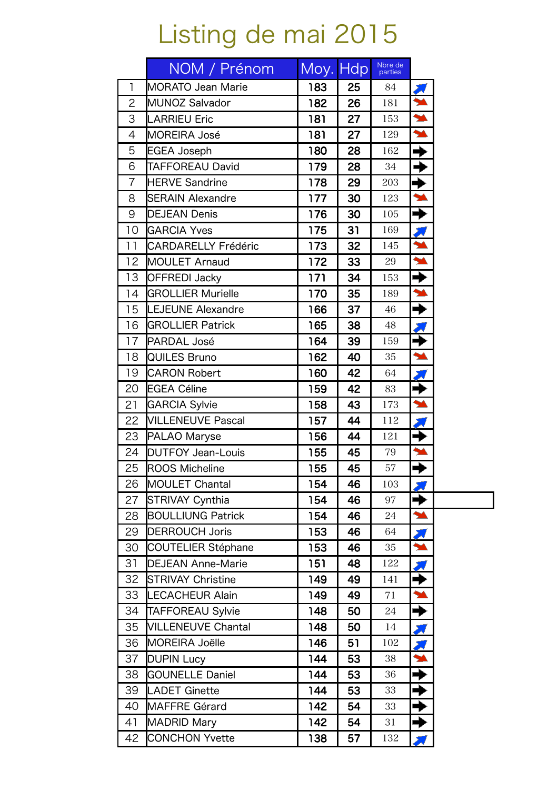## Listing de mai 2015

|                | NOM / Prénom               | Moy. Hdp |    | Nbre de<br>parties |                            |
|----------------|----------------------------|----------|----|--------------------|----------------------------|
| $\mathsf{I}$   | <b>MORATO Jean Marie</b>   | 183      | 25 | 84                 |                            |
| $\overline{2}$ | MUNOZ Salvador             | 182      | 26 | 181                | $\overline{\mathbf{A}}$    |
| 3              | <b>LARRIEU Eric</b>        | 181      | 27 | 153                | N                          |
| $\overline{4}$ | <b>MOREIRA José</b>        | 181      | 27 | 129                | $\blacktriangle$           |
| 5              | <b>EGEA Joseph</b>         | 180      | 28 | 162                | →                          |
| 6              | <b>TAFFOREAU David</b>     | 179      | 28 | 34                 | →                          |
| $\overline{7}$ | <b>HERVE Sandrine</b>      | 178      | 29 | 203                | $\overline{\blacklozenge}$ |
| 8              | <b>SERAIN Alexandre</b>    | 177      | 30 | 123                | $\blacktriangleright$      |
| 9              | <b>DEJEAN Denis</b>        | 176      | 30 | 105                | $\overline{\rightarrow}$   |
| 10             | <b>GARCIA Yves</b>         | 175      | 31 | 169                |                            |
| 11             | <b>CARDARELLY Frédéric</b> | 173      | 32 | 145                | $\overline{\phantom{a}}$   |
| 12             | <b>MOULET Arnaud</b>       | 172      | 33 | 29                 | $\blacktriangle$           |
| 13             | <b>OFFREDI Jacky</b>       | 171      | 34 | 153                | →                          |
| 14             | <b>GROLLIER Murielle</b>   | 170      | 35 | 189                | $\blacktriangleright$      |
| 15             | <b>LEJEUNE Alexandre</b>   | 166      | 37 | 46                 | $\blacktriangleright$      |
| 16             | <b>GROLLIER Patrick</b>    | 165      | 38 | 48                 |                            |
| 17             | PARDAL José                | 164      | 39 | 159                | →                          |
| 18             | <b>QUILES Bruno</b>        | 162      | 40 | 35                 | $\overline{\phantom{a}}$   |
| 19             | <b>CARON Robert</b>        | 160      | 42 | 64                 |                            |
| 20             | <b>EGEA Céline</b>         | 159      | 42 | 83                 | $\rightarrow$              |
| 21             | <b>GARCIA Sylvie</b>       | 158      | 43 | 173                | $\blacktriangle$           |
| 22             | <b>VILLENEUVE Pascal</b>   | 157      | 44 | 112                |                            |
| 23             | PALAO Maryse               | 156      | 44 | 121                | →                          |
| 24             | <b>DUTFOY Jean-Louis</b>   | 155      | 45 | 79                 | $\blacktriangleright$      |
| 25             | <b>ROOS Micheline</b>      | 155      | 45 | 57                 | →                          |
| 26             | <b>MOULET Chantal</b>      | 154      | 46 | 103                |                            |
| 27             | <b>STRIVAY Cynthia</b>     | 154      | 46 | 97                 |                            |
| 28             | <b>BOULLIUNG Patrick</b>   | 154      | 46 | 24                 | $\blacktriangleright$      |
| 29             | <b>DERROUCH Joris</b>      | 153      | 46 | 64                 |                            |
| 30             | <b>COUTELIER Stéphane</b>  | 153      | 46 | 35                 | M                          |
| 31             | <b>DEJEAN Anne-Marie</b>   | 151      | 48 | 122                |                            |
| 32             | <b>STRIVAY Christine</b>   | 149      | 49 | 141                | →                          |
| 33             | <b>LECACHEUR Alain</b>     | 149      | 49 | 71                 | $\blacktriangleright$      |
| 34             | <b>TAFFOREAU Sylvie</b>    | 148      | 50 | 24                 | →                          |
| 35             | <b>VILLENEUVE Chantal</b>  | 148      | 50 | 14                 |                            |
| 36             | <b>MOREIRA Joëlle</b>      | 146      | 51 | 102                | X                          |
| 37             | <b>DUPIN Lucy</b>          | 144      | 53 | 38                 | M                          |
| 38             | <b>GOUNELLE Daniel</b>     | 144      | 53 | 36                 | ♦                          |
| 39             | <b>LADET Ginette</b>       | 144      | 53 | 33                 | →                          |
| 40             | <b>MAFFRE Gérard</b>       | 142      | 54 | 33                 | ⇛                          |
| 41             | <b>MADRID Mary</b>         | 142      | 54 | 31                 | ┥                          |
| 42             | <b>CONCHON Yvette</b>      | 138      | 57 | 132                |                            |

 $\overline{\phantom{0}}$